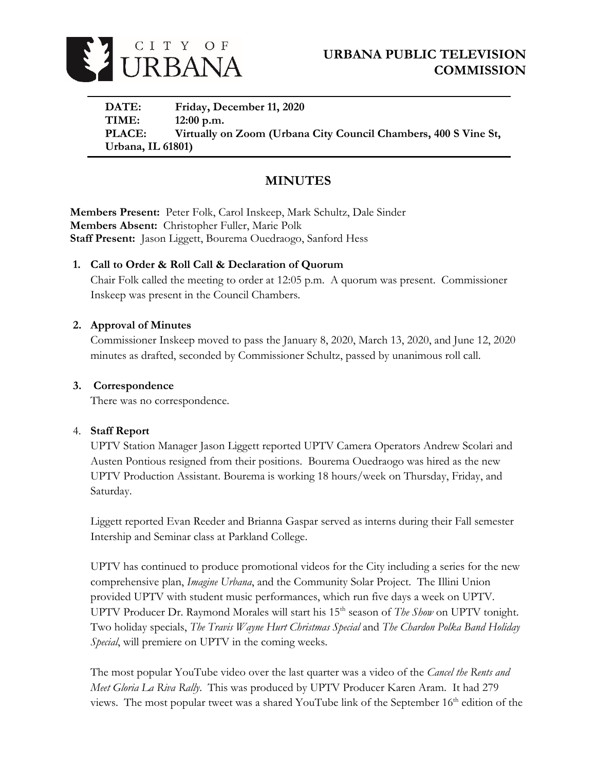

**DATE: Friday, December 11, 2020 TIME: 12:00 p.m. PLACE: Virtually on Zoom (Urbana City Council Chambers, 400 S Vine St, Urbana, IL 61801)**

# **MINUTES**

**Members Present:** Peter Folk, Carol Inskeep, Mark Schultz, Dale Sinder **Members Absent:** Christopher Fuller, Marie Polk **Staff Present:** Jason Liggett, Bourema Ouedraogo, Sanford Hess

# **1. Call to Order & Roll Call & Declaration of Quorum**

Chair Folk called the meeting to order at 12:05 p.m. A quorum was present. Commissioner Inskeep was present in the Council Chambers.

# **2. Approval of Minutes**

Commissioner Inskeep moved to pass the January 8, 2020, March 13, 2020, and June 12, 2020 minutes as drafted, seconded by Commissioner Schultz, passed by unanimous roll call.

### **3. Correspondence**

There was no correspondence.

### 4. **Staff Report**

UPTV Station Manager Jason Liggett reported UPTV Camera Operators Andrew Scolari and Austen Pontious resigned from their positions. Bourema Ouedraogo was hired as the new UPTV Production Assistant. Bourema is working 18 hours/week on Thursday, Friday, and Saturday.

Liggett reported Evan Reeder and Brianna Gaspar served as interns during their Fall semester Intership and Seminar class at Parkland College.

UPTV has continued to produce promotional videos for the City including a series for the new comprehensive plan, *Imagine Urbana*, and the Community Solar Project. The Illini Union provided UPTV with student music performances, which run five days a week on UPTV. UPTV Producer Dr. Raymond Morales will start his 15<sup>th</sup> season of *The Show* on UPTV tonight. Two holiday specials, *The Travis Wayne Hurt Christmas Special* and *The Chardon Polka Band Holiday Special*, will premiere on UPTV in the coming weeks.

The most popular YouTube video over the last quarter was a video of the *Cancel the Rents and Meet Gloria La Riva Rally*. This was produced by UPTV Producer Karen Aram. It had 279 views. The most popular tweet was a shared YouTube link of the September 16<sup>th</sup> edition of the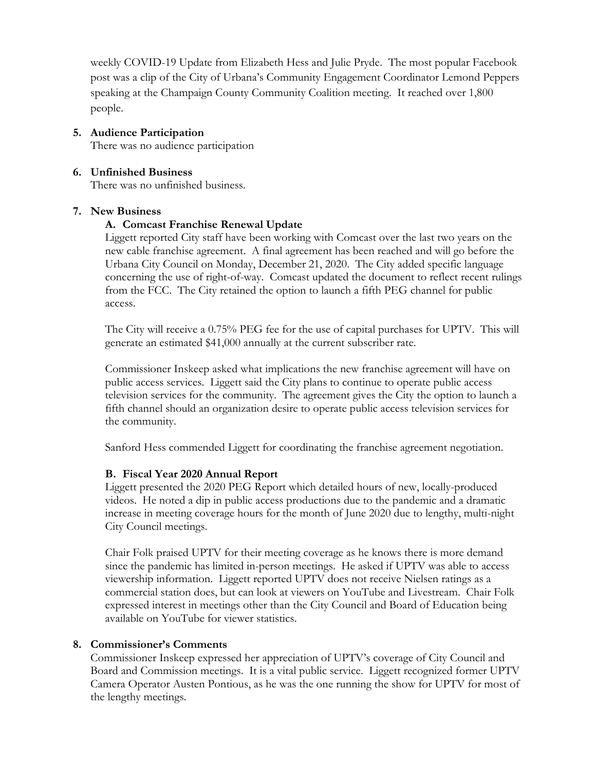weekly COVID-19 Update from Elizabeth Hess and Julie Pryde. The most popular Facebook post was a clip of the City of Urbana's Community Engagement Coordinator Lemond Peppers speaking at the Champaign County Community Coalition meeting. It reached over 1,800 people.

**5. Audience Participation** There was no audience participation

# **6. Unfinished Business**

There was no unfinished business.

### **7. New Business**

### **A. Comcast Franchise Renewal Update**

Liggett reported City staff have been working with Comcast over the last two years on the new cable franchise agreement. A final agreement has been reached and will go before the Urbana City Council on Monday, December 21, 2020. The City added specific language concerning the use of right-of-way. Comcast updated the document to reflect recent rulings from the FCC. The City retained the option to launch a fifth PEG channel for public access.

The City will receive a 0.75% PEG fee for the use of capital purchases for UPTV. This will generate an estimated \$41,000 annually at the current subscriber rate.

Commissioner Inskeep asked what implications the new franchise agreement will have on public access services. Liggett said the City plans to continue to operate public access television services for the community. The agreement gives the City the option to launch a fifth channel should an organization desire to operate public access television services for the community.

Sanford Hess commended Liggett for coordinating the franchise agreement negotiation.

### **B. Fiscal Year 2020 Annual Report**

Liggett presented the 2020 PEG Report which detailed hours of new, locally-produced videos. He noted a dip in public access productions due to the pandemic and a dramatic increase in meeting coverage hours for the month of June 2020 due to lengthy, multi-night City Council meetings.

Chair Folk praised UPTV for their meeting coverage as he knows there is more demand since the pandemic has limited in-person meetings. He asked if UPTV was able to access viewership information. Liggett reported UPTV does not receive Nielsen ratings as a commercial station does, but can look at viewers on YouTube and Livestream. Chair Folk expressed interest in meetings other than the City Council and Board of Education being available on YouTube for viewer statistics.

### **8. Commissioner's Comments**

Commissioner Inskeep expressed her appreciation of UPTV's coverage of City Council and Board and Commission meetings. It is a vital public service. Liggett recognized former UPTV Camera Operator Austen Pontious, as he was the one running the show for UPTV for most of the lengthy meetings.